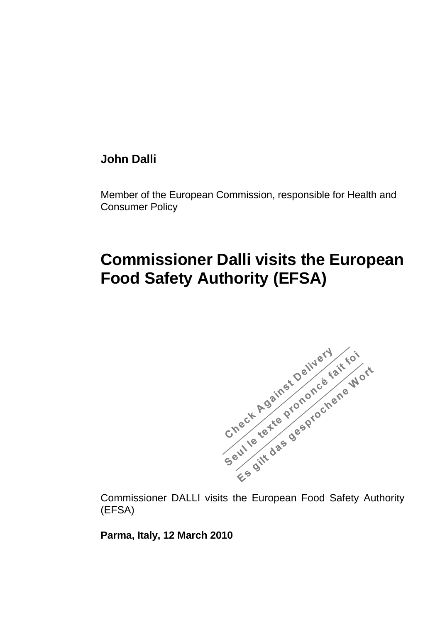## **John Dalli**

Member of the European Commission, responsible for Health and Consumer Policy

## **Commissioner Dalli visits the European Food Safety Authority (EFSA)**



(EFSA)

**Parma, Italy, 12 March 2010**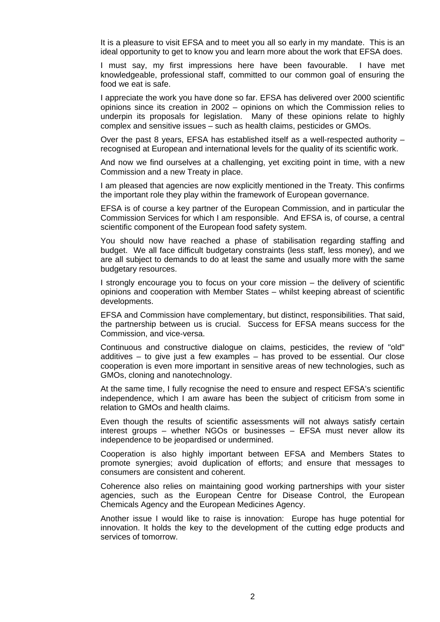It is a pleasure to visit EFSA and to meet you all so early in my mandate. This is an ideal opportunity to get to know you and learn more about the work that EFSA does.

I must say, my first impressions here have been favourable. I have met knowledgeable, professional staff, committed to our common goal of ensuring the food we eat is safe.

I appreciate the work you have done so far. EFSA has delivered over 2000 scientific opinions since its creation in 2002 – opinions on which the Commission relies to underpin its proposals for legislation. Many of these opinions relate to highly complex and sensitive issues – such as health claims, pesticides or GMOs.

Over the past 8 years, EFSA has established itself as a well-respected authority – recognised at European and international levels for the quality of its scientific work.

And now we find ourselves at a challenging, yet exciting point in time, with a new Commission and a new Treaty in place.

I am pleased that agencies are now explicitly mentioned in the Treaty. This confirms the important role they play within the framework of European governance.

EFSA is of course a key partner of the European Commission, and in particular the Commission Services for which I am responsible. And EFSA is, of course, a central scientific component of the European food safety system.

You should now have reached a phase of stabilisation regarding staffing and budget. We all face difficult budgetary constraints (less staff, less money), and we are all subject to demands to do at least the same and usually more with the same budgetary resources.

I strongly encourage you to focus on your core mission – the delivery of scientific opinions and cooperation with Member States – whilst keeping abreast of scientific developments.

EFSA and Commission have complementary, but distinct, responsibilities. That said, the partnership between us is crucial. Success for EFSA means success for the Commission, and vice-versa.

Continuous and constructive dialogue on claims, pesticides, the review of "old" additives – to give just a few examples – has proved to be essential. Our close cooperation is even more important in sensitive areas of new technologies, such as GMOs, cloning and nanotechnology.

At the same time, I fully recognise the need to ensure and respect EFSA's scientific independence, which I am aware has been the subject of criticism from some in relation to GMOs and health claims.

Even though the results of scientific assessments will not always satisfy certain interest groups – whether NGOs or businesses – EFSA must never allow its independence to be jeopardised or undermined.

Cooperation is also highly important between EFSA and Members States to promote synergies; avoid duplication of efforts; and ensure that messages to consumers are consistent and coherent.

Coherence also relies on maintaining good working partnerships with your sister agencies, such as the European Centre for Disease Control, the European Chemicals Agency and the European Medicines Agency.

Another issue I would like to raise is innovation: Europe has huge potential for innovation. It holds the key to the development of the cutting edge products and services of tomorrow.